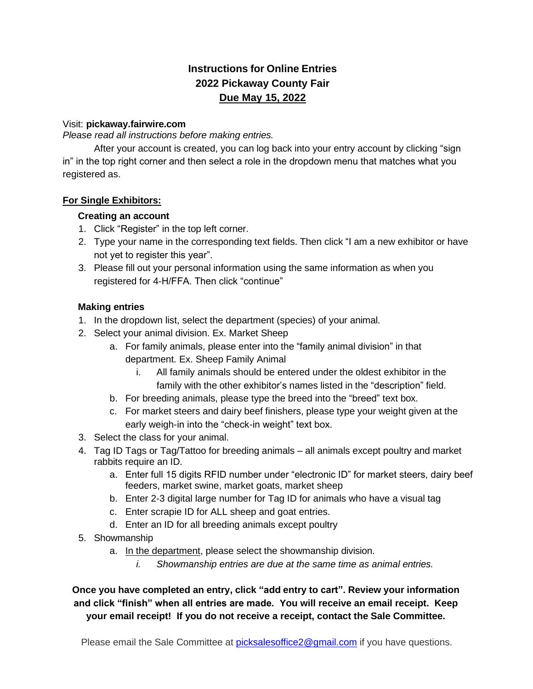# **Instructions for Online Entries 2022 Pickaway County Fair Due May 15, 2022**

#### Visit: **pickaway.fairwire.com**

*Please read all instructions before making entries.*

After your account is created, you can log back into your entry account by clicking "sign in" in the top right corner and then select a role in the dropdown menu that matches what you registered as.

#### **For Single Exhibitors:**

#### **Creating an account**

- 1. Click "Register" in the top left corner.
- 2. Type your name in the corresponding text fields. Then click "I am a new exhibitor or have not yet to register this year".
- 3. Please fill out your personal information using the same information as when you registered for 4-H/FFA. Then click "continue"

#### **Making entries**

- 1. In the dropdown list, select the department (species) of your animal.
- 2. Select your animal division. Ex. Market Sheep
	- a. For family animals, please enter into the "family animal division" in that department. Ex. Sheep Family Animal
		- i. All family animals should be entered under the oldest exhibitor in the family with the other exhibitor's names listed in the "description" field.
	- b. For breeding animals, please type the breed into the "breed" text box.
	- c. For market steers and dairy beef finishers, please type your weight given at the early weigh-in into the "check-in weight" text box.
- 3. Select the class for your animal.
- 4. Tag ID Tags or Tag/Tattoo for breeding animals all animals except poultry and market rabbits require an ID.
	- a. Enter full 15 digits RFID number under "electronic ID" for market steers, dairy beef feeders, market swine, market goats, market sheep
	- b. Enter 2-3 digital large number for Tag ID for animals who have a visual tag
	- c. Enter scrapie ID for ALL sheep and goat entries.
	- d. Enter an ID for all breeding animals except poultry
- 5. Showmanship
	- a. In the department, please select the showmanship division.
		- *i. Showmanship entries are due at the same time as animal entries.*

**Once you have completed an entry, click "add entry to cart". Review your information and click "finish" when all entries are made. You will receive an email receipt. Keep your email receipt! If you do not receive a receipt, contact the Sale Committee.**

Please email the Sale Committee at [picksalesoffice2@gmail.com](mailto:picksalesoffice2@gmail.com) if you have questions.